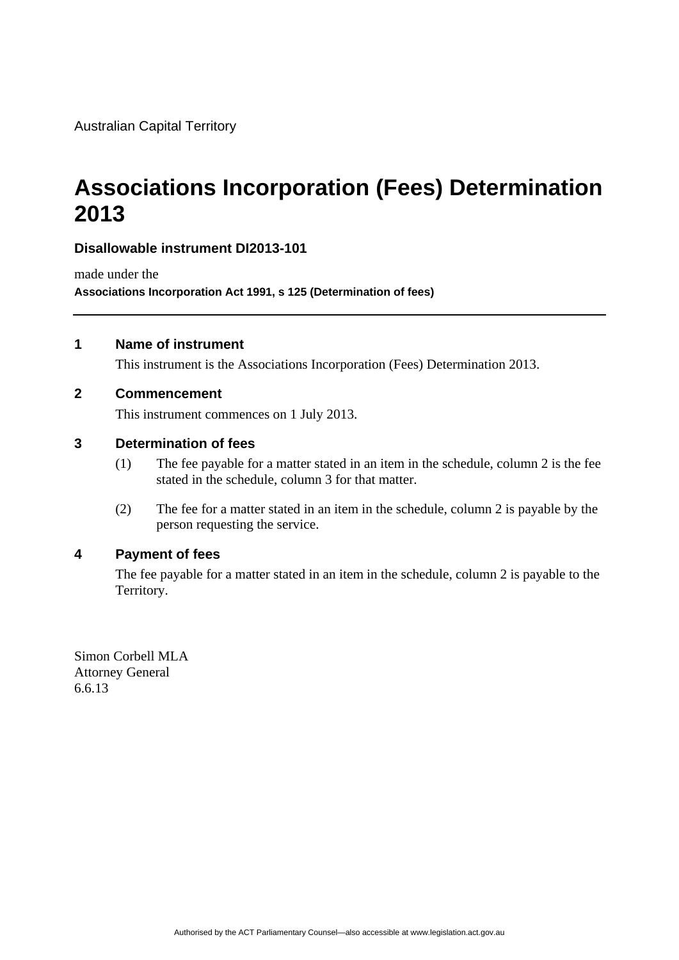Australian Capital Territory

# **Associations Incorporation (Fees) Determination 2013**

### **Disallowable instrument DI2013-101**

made under the **Associations Incorporation Act 1991, s 125 (Determination of fees)** 

#### **1 Name of instrument**

This instrument is the Associations Incorporation (Fees) Determination 2013.

#### **2 Commencement**

This instrument commences on 1 July 2013.

#### **3 Determination of fees**

- (1) The fee payable for a matter stated in an item in the schedule, column 2 is the fee stated in the schedule, column 3 for that matter.
- (2) The fee for a matter stated in an item in the schedule, column 2 is payable by the person requesting the service.

#### **4 Payment of fees**

The fee payable for a matter stated in an item in the schedule, column 2 is payable to the Territory.

Simon Corbell MLA Attorney General 6.6.13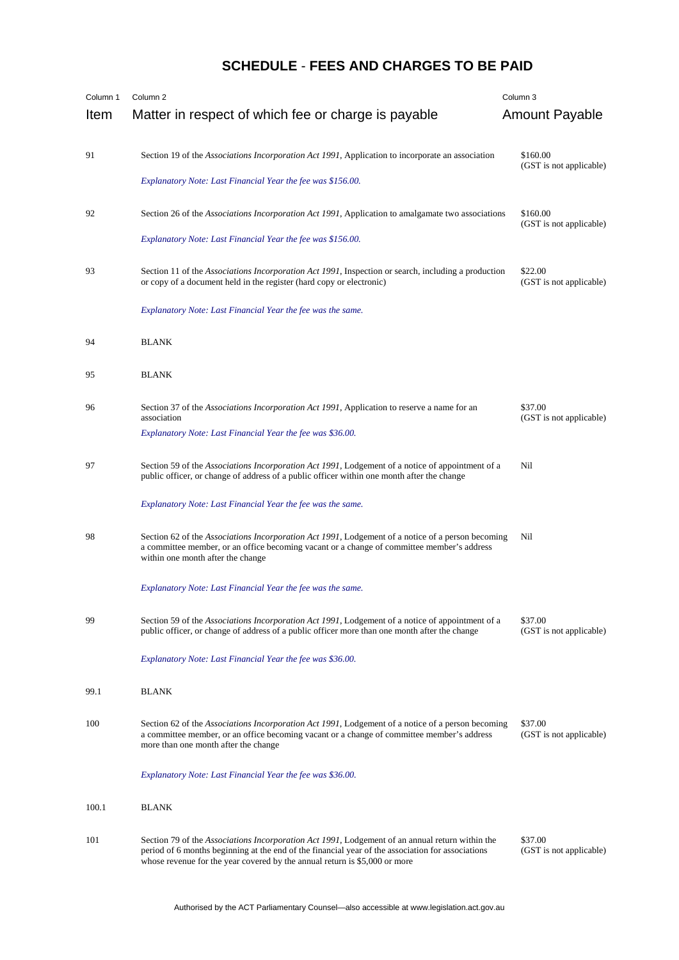## **SCHEDULE** - **FEES AND CHARGES TO BE PAID**

| Column 1<br>Item | Column 2<br>Matter in respect of which fee or charge is payable                                                                                                                                                                                                                    | Column 3<br>Amount Payable          |
|------------------|------------------------------------------------------------------------------------------------------------------------------------------------------------------------------------------------------------------------------------------------------------------------------------|-------------------------------------|
| 91               | Section 19 of the Associations Incorporation Act 1991, Application to incorporate an association                                                                                                                                                                                   | \$160.00<br>(GST is not applicable) |
|                  | Explanatory Note: Last Financial Year the fee was \$156.00.                                                                                                                                                                                                                        |                                     |
| 92               | Section 26 of the <i>Associations Incorporation Act 1991</i> , Application to amalgamate two associations                                                                                                                                                                          | \$160.00<br>(GST is not applicable) |
|                  | Explanatory Note: Last Financial Year the fee was \$156.00.                                                                                                                                                                                                                        |                                     |
| 93               | Section 11 of the <i>Associations Incorporation Act 1991</i> , Inspection or search, including a production<br>or copy of a document held in the register (hard copy or electronic)                                                                                                | \$22.00<br>(GST is not applicable)  |
|                  | Explanatory Note: Last Financial Year the fee was the same.                                                                                                                                                                                                                        |                                     |
| 94               | <b>BLANK</b>                                                                                                                                                                                                                                                                       |                                     |
| 95               | <b>BLANK</b>                                                                                                                                                                                                                                                                       |                                     |
| 96               | Section 37 of the <i>Associations Incorporation Act 1991</i> , Application to reserve a name for an<br>association                                                                                                                                                                 | \$37.00<br>(GST is not applicable)  |
|                  | Explanatory Note: Last Financial Year the fee was \$36.00.                                                                                                                                                                                                                         |                                     |
| 97               | Section 59 of the Associations Incorporation Act 1991, Lodgement of a notice of appointment of a<br>public officer, or change of address of a public officer within one month after the change                                                                                     | Nil                                 |
|                  | Explanatory Note: Last Financial Year the fee was the same.                                                                                                                                                                                                                        |                                     |
| 98               | Section 62 of the Associations Incorporation Act 1991, Lodgement of a notice of a person becoming<br>a committee member, or an office becoming vacant or a change of committee member's address<br>within one month after the change                                               | Nil                                 |
|                  | Explanatory Note: Last Financial Year the fee was the same.                                                                                                                                                                                                                        |                                     |
| 99               | Section 59 of the <i>Associations Incorporation Act 1991</i> , Lodgement of a notice of appointment of a<br>public officer, or change of address of a public officer more than one month after the change                                                                          | \$37.00<br>(GST is not applicable)  |
|                  | Explanatory Note: Last Financial Year the fee was \$36.00.                                                                                                                                                                                                                         |                                     |
| 99.1             | <b>BLANK</b>                                                                                                                                                                                                                                                                       |                                     |
| 100              | Section 62 of the Associations Incorporation Act 1991, Lodgement of a notice of a person becoming<br>a committee member, or an office becoming vacant or a change of committee member's address<br>more than one month after the change                                            | \$37.00<br>(GST is not applicable)  |
|                  | Explanatory Note: Last Financial Year the fee was \$36.00.                                                                                                                                                                                                                         |                                     |
| 100.1            | <b>BLANK</b>                                                                                                                                                                                                                                                                       |                                     |
| 101              | Section 79 of the Associations Incorporation Act 1991, Lodgement of an annual return within the<br>period of 6 months beginning at the end of the financial year of the association for associations<br>whose revenue for the year covered by the annual return is \$5,000 or more | \$37.00<br>(GST is not applicable)  |